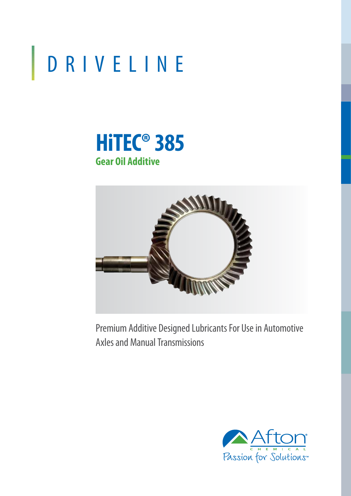# DRIVELINE





Premium Additive Designed Lubricants For Use in Automotive Axles and Manual Transmissions